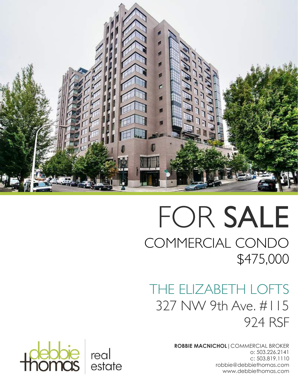

# FOR SALE COMMERCIAL CONDO \$475,000

## THE ELIZABETH LOFTS 327 NW 9th Ave. #115 924 RSF

**ROBBIE MACNICHOL**|COMMERCIAL BROKER o: 503.226.2141 c: 503.819.1110 robbie@debbiethomas.com www.debbiethomas.com

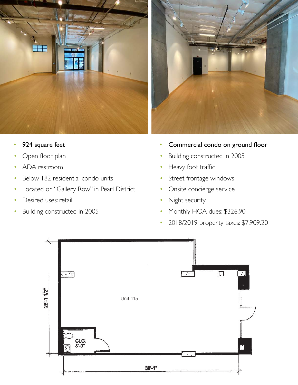



- 924 square feet
- Open floor plan
- ADA restroom
- Below 182 residential condo units
- Located on "Gallery Row" in Pearl District
- Desired uses: retail
- Building constructed in 2005
- Commercial condo on ground floor
- Building constructed in 2005
- Heavy foot traffic
- Street frontage windows
- Onsite concierge service
- ired uses: retail and the condomination of the Might security
	- Monthly HOA dues: \$326.90
	- 2018/2019 property taxes: \$7,909.20

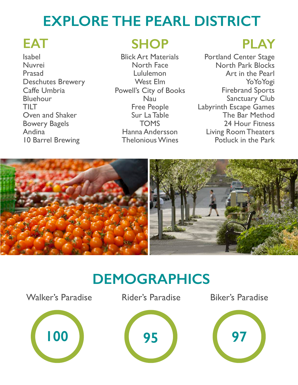## **EXPLORE THE PEARL DISTRICT**

Isabel Nuvrei Prasad Deschutes Brewery Caffe Umbria Bluehour TILT Oven and Shaker Bowery Bagels Andina 10 Barrel Brewing

## **EAT SHOP PLAY**

Blick Art Materials North Face Lululemon West Elm Powell's City of Books Nau Free People Sur La Table TOMS Hanna Andersson Thelonious Wines

Portland Center Stage North Park Blocks Art in the Pearl YoYoYogi Firebrand Sports Sanctuary Club Labyrinth Escape Games The Bar Method 24 Hour Fitness Living Room Theaters Potluck in the Park



## **DEMOGRAPHICS**